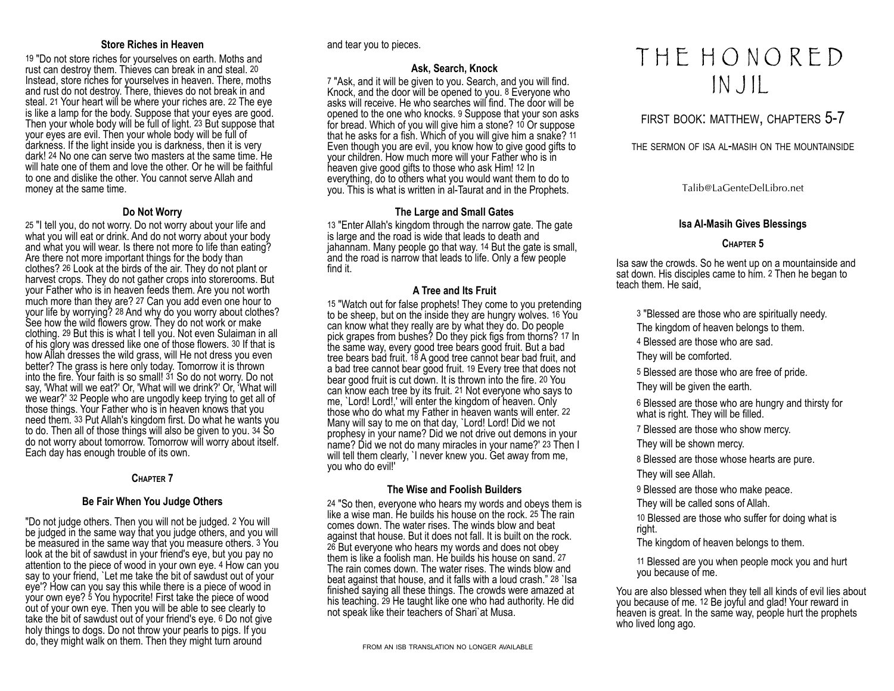#### **Store Riches in Heaven**

19 "Do not store riches for yourselves on earth. Moths and rust can destroy them. Thieves can break in and steal. 20 Instead, store riches for yourselves in heaven. There, moths and rust do not destroy. There, thieves do not break in and steal. 21 Your heart will be where your riches are. 22 The eye is like a lamp for the body. Suppose that your eyes are good. Then your whole body will be full of light. 23 But suppose that your eyes are evil. Then your whole body will be full of darkness. If the light inside you is darkness, then it is very dark! 24 No one can serve two masters at the same time. He will hate one of them and love the other. Or he will be faithful to one and dislike the other. You cannot serve Allah and money at the same time.

### **Do Not Worry**

25 "I tell you, do not worry. Do not worry about your life and what you will eat or drink. And do not worry about your body and what you will wear. Is there not more to life than eating? Are there not more important things for the body than clothes? 26 Look at the birds of the air. They do not plant or harvest crops. They do not gather crops into storerooms. But your Father who is in heaven feeds them. Are you not worth much more than they are? 27 Can you add even one hour to your life by worrying? 28 And why do you worry about clothes? See how the wild flowers grow. They do not work or make clothing. 29 But this is what I tell you. Not even Sulaiman in all of his glory was dressed like one of those flowers. 30 If that is how Allah dresses the wild grass, will He not dress you even better? The grass is here only today. Tomorrow it is thrown into the fire. Your faith is so small! 31 So do not worry. Do not say, 'What will we eat?' Or, 'What will we drink?' Or, 'What will we wear?' 32 People who are ungodly keep trying to get all of those things. Your Father who is in heaven knows that you need them. 33 Put Allah's kingdom first. Do what he wants you to do. Then all of those things will also be given to you. 34 So do not worry about tomorrow. Tomorrow will worry about itself. Each day has enough trouble of its own.

#### **CHAPTER 7**

#### **Be Fair When You Judge Others**

"Do not judge others. Then you will not be judged. 2 You will be judged in the same way that you judge others, and you will be measured in the same way that you measure others. 3 You look at the bit of sawdust in your friend's eye, but you pay no attention to the piece of wood in your own eye. 4 How can you say to your friend, `Let me take the bit of sawdust out of your eye'? How can you say this while there is a piece of wood in your own eye? 5 You hypocrite! First take the piece of wood out of your own eye. Then you will be able to see clearly to take the bit of sawdust out of your friend's eye. 6 Do not give holy things to dogs. Do not throw your pearls to pigs. If you do, they might walk on them. Then they might turn around

and tear you to pieces.

# **Ask, Search, Knock**

7 "Ask, and it will be given to you. Search, and you will find. Knock, and the door will be opened to you. 8 Everyone who asks will receive. He who searches will find. The door will be opened to the one who knocks. 9 Suppose that your son asks for bread. Which of you will give him a stone? 10 Or suppose that he asks for a fish. Which of you will give him a snake? 11 Even though you are evil, you know how to give good gifts to your children. How much more will your Father who is in heaven give good gifts to those who ask Him! 12 In everything, do to others what you would want them to do to you. This is what is written in al-Taurat and in the Prophets.

# **The Large and Small Gates**

13 "Enter Allah's kingdom through the narrow gate. The gate is large and the road is wide that leads to death and jahannam. Many people go that way. 14 But the gate is small, and the road is narrow that leads to life. Only a few people find it.

#### **A Tree and Its Fruit**

15 "Watch out for false prophets! They come to you pretending to be sheep, but on the inside they are hungry wolves. 16 You can know what they really are by what they do. Do people pick grapes from bushes? Do they pick figs from thorns? 17 In the same way, every good tree bears good fruit. But a bad tree bears bad fruit. 18 A good tree cannot bear bad fruit, and a bad tree cannot bear good fruit. 19 Every tree that does not bear good fruit is cut down. It is thrown into the fire. 20 You can know each tree by its fruit. 21 Not everyone who says to me, `Lord! Lord!,' will enter the kingdom of heaven. Only those who do what my Father in heaven wants will enter. 22 Many will say to me on that day, `Lord! Lord! Did we not prophesy in your name? Did we not drive out demons in your name? Did we not do many miracles in your name?' 23 Then I will tell them clearly, 'I never knew you. Get away from me, you who do evil!'

# **The Wise and Foolish Builders**

24 "So then, everyone who hears my words and obeys them is like a wise man. He builds his house on the rock. 25 The rain comes down. The water rises. The winds blow and beat against that house. But it does not fall. It is built on the rock. 26 But everyone who hears my words and does not obey them is like a foolish man. He builds his house on sand. 27 The rain comes down. The water rises. The winds blow and beat against that house, and it falls with a loud crash." 28 `Isa finished saying all these things. The crowds were amazed at his teaching. 29 He taught like one who had authority. He did not speak like their teachers of Shari`at Musa.

# T H E H O N O R E D IN J IL

# FIRST BOOK: MATTHEW, CHAPTERS 5-7

THE SERMON OF ISA AL-MASIH ON THE MOUNTAINSIDE

Talib@LaGenteDelLibro.net

#### **Isa Al-Masih Gives Blessings**

#### **CHAPTER 5**

Isa saw the crowds. So he went up on a mountainside and sat down. His disciples came to him. 2 Then he began to teach them. He said,

3 "Blessed are those who are spiritually needy.

The kingdom of heaven belongs to them.

4 Blessed are those who are sad.

They will be comforted.

5 Blessed are those who are free of pride.

They will be given the earth.

6 Blessed are those who are hungry and thirsty for what is right. They will be filled.

7 Blessed are those who show mercy.

They will be shown mercy.

8 Blessed are those whose hearts are pure.

They will see Allah.

9 Blessed are those who make peace.

They will be called sons of Allah.

10 Blessed are those who suffer for doing what is right.

The kingdom of heaven belongs to them.

11 Blessed are you when people mock you and hurt you because of me.

You are also blessed when they tell all kinds of evil lies about you because of me. 12 Be joyful and glad! Your reward in heaven is great. In the same way, people hurt the prophets who lived long ago.